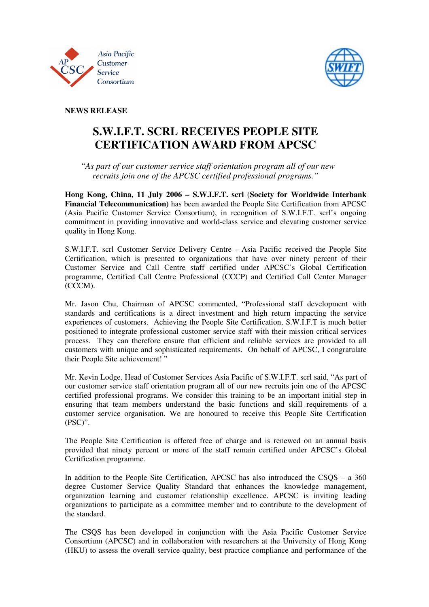



**NEWS RELEASE** 

## **S.W.I.F.T. SCRL RECEIVES PEOPLE SITE CERTIFICATION AWARD FROM APCSC**

 *"As part of our customer service staff orientation program all of our new recruits join one of the APCSC certified professional programs."* 

**Hong Kong, China, 11 July 2006 – S.W.I.F.T. scrl** (**Society for Worldwide Interbank Financial Telecommunication)** has been awarded the People Site Certification from APCSC (Asia Pacific Customer Service Consortium), in recognition of S.W.I.F.T. scrl's ongoing commitment in providing innovative and world-class service and elevating customer service quality in Hong Kong.

S.W.I.F.T. scrl Customer Service Delivery Centre - Asia Pacific received the People Site Certification, which is presented to organizations that have over ninety percent of their Customer Service and Call Centre staff certified under APCSC's Global Certification programme, Certified Call Centre Professional (CCCP) and Certified Call Center Manager (CCCM).

Mr. Jason Chu, Chairman of APCSC commented, "Professional staff development with standards and certifications is a direct investment and high return impacting the service experiences of customers. Achieving the People Site Certification, S.W.I.F.T is much better positioned to integrate professional customer service staff with their mission critical services process. They can therefore ensure that efficient and reliable services are provided to all customers with unique and sophisticated requirements. On behalf of APCSC, I congratulate their People Site achievement! "

Mr. Kevin Lodge, Head of Customer Services Asia Pacific of S.W.I.F.T. scrl said, "As part of our customer service staff orientation program all of our new recruits join one of the APCSC certified professional programs. We consider this training to be an important initial step in ensuring that team members understand the basic functions and skill requirements of a customer service organisation. We are honoured to receive this People Site Certification (PSC)".

The People Site Certification is offered free of charge and is renewed on an annual basis provided that ninety percent or more of the staff remain certified under APCSC's Global Certification programme.

In addition to the People Site Certification, APCSC has also introduced the CSQS – a 360 degree Customer Service Quality Standard that enhances the knowledge management, organization learning and customer relationship excellence. APCSC is inviting leading organizations to participate as a committee member and to contribute to the development of the standard.

The CSQS has been developed in conjunction with the Asia Pacific Customer Service Consortium (APCSC) and in collaboration with researchers at the University of Hong Kong (HKU) to assess the overall service quality, best practice compliance and performance of the